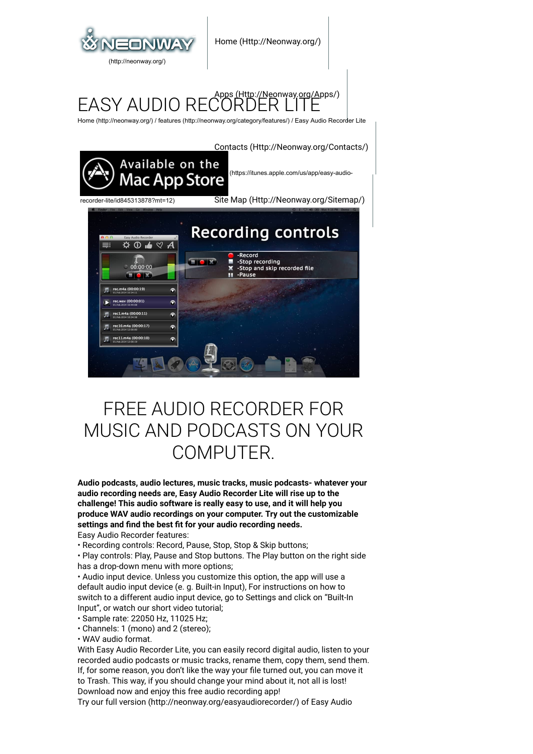

#### FASY AUDIO RI (Http://Neonway.org/Apps/)

[Home \(http://neonway.org/\)](http://neonway.org/) / [features \(http://neonway.org/category/features/\)](http://neonway.org/category/features/) / Easy Audio Recorder Lite



# FREE AUDIO RECORDER FOR MUSIC AND PODCASTS ON YOUR COMPUTER.

**Audio podcasts, audio lectures, music tracks, music podcasts- whatever your audio recording needs are, Easy Audio Recorder Lite will rise up to the challenge! This audio software is really easy to use, and it will help you produce WAV audio recordings on your computer. Try out the customizable** settings and find the best fit for your audio recording needs. Easy Audio Recorder features:

• Recording controls: Record, Pause, Stop, Stop & Skip buttons;

• Play controls: Play, Pause and Stop buttons. The Play button on the right side has a drop-down menu with more options;

• Audio input device. Unless you customize this option, the app will use a default audio input device (e. g. Built-in Input), For instructions on how to switch to a different audio input device, go to Settings and click on "Built-In Input", or watch our short video tutorial;

• Sample rate: 22050 Hz, 11025 Hz;

• Channels: 1 (mono) and 2 (stereo);

• WAV audio format.

With Easy Audio Recorder Lite, you can easily record digital audio, listen to your recorded audio podcasts or music tracks, rename them, copy them, send them. If, for some reason, you don't like the way your file turned out, you can move it to Trash. This way, if you should change your mind about it, not all is lost!

Download now and enjoy this free audio recording app!

Try our [full version \(http://neonway.org/easyaudiorecorder/\)](http://neonway.org/easyaudiorecorder/) of Easy Audio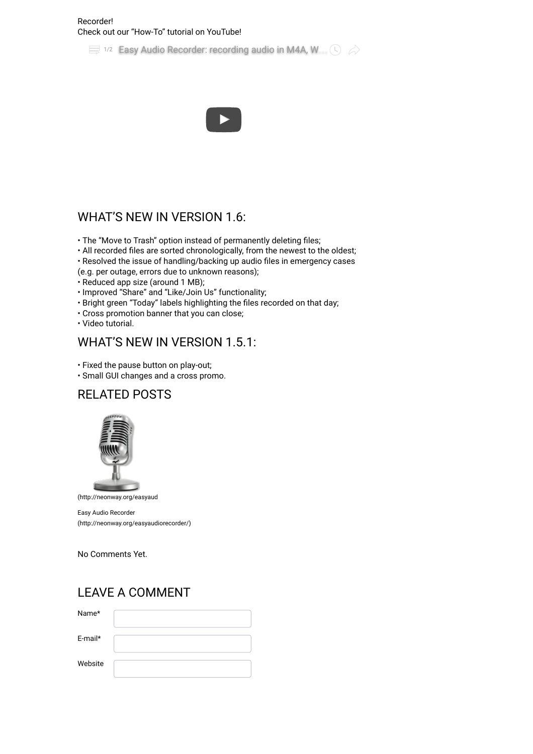#### Recorder! Check out our "How-To" tutorial on YouTube!

 $\equiv$  1/2 [Easy Audio Recorder: recording audio in M4A, W](https://www.youtube.com/watch?list=PLuaVbnfoG3qf1Gz_IxNRqq5ta8TEJWEyE&v=iicgsWzZzzY).  $\otimes$ 



### WHAT'S NEW IN VERSION 1.6:

- The "Move to Trash" option instead of permanently deleting files;
- All recorded files are sorted chronologically, from the newest to the oldest;
- Resolved the issue of handling/backing up audio files in emergency cases

(e.g. per outage, errors due to unknown reasons);

- Reduced app size (around 1 MB);
- Improved "Share" and "Like/Join Us" functionality;
- Bright green "Today" labels highlighting the files recorded on that day;
- Cross promotion banner that you can close;
- Video tutorial.

#### WHAT'S NEW IN VERSION 1.5.1:

- Fixed the pause button on play-out;
- Small GUI changes and a cross promo.

## RELATED POSTS



(http://neonway.org/easyaud

Easy Audio Recorder [\(http://neonway.org/easyaudiorecorder/\)](http://neonway.org/easyaudiorecorder/)

No Comments Yet.

#### LEAVE A COMMENT

| Name*   |  |
|---------|--|
| E-mail* |  |
| Website |  |